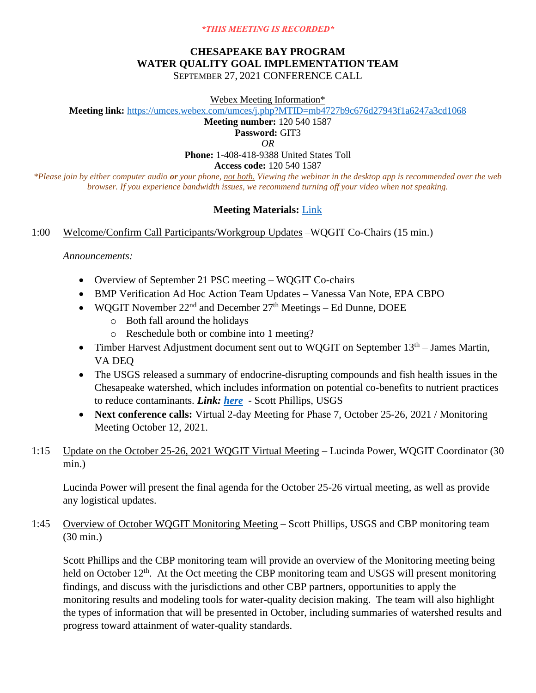#### *\*THIS MEETING IS RECORDED\**

# **CHESAPEAKE BAY PROGRAM WATER QUALITY GOAL IMPLEMENTATION TEAM** SEPTEMBER 27, 2021 CONFERENCE CALL

Webex Meeting Information\*

**Meeting link:** <https://umces.webex.com/umces/j.php?MTID=mb4727b9c676d27943f1a6247a3cd1068>

**Meeting number:** 120 540 1587

**Password:** GIT3

*OR*

**Phone:** 1-408-418-9388 United States Toll

**Access code:** 120 540 1587

*\*Please join by either computer audio or your phone, not both. Viewing the webinar in the desktop app is recommended over the web browser. If you experience bandwidth issues, we recommend turning off your video when not speaking.*

# **Meeting Materials:** [Link](https://www.chesapeakebay.net/what/event/water_quality_goal_implementation_team_conference_call_september_27_2021)

### 1:00 Welcome/Confirm Call Participants/Workgroup Updates –WQGIT Co-Chairs (15 min.)

*Announcements:*

- Overview of September 21 PSC meeting WQGIT Co-chairs
- BMP Verification Ad Hoc Action Team Updates Vanessa Van Note, EPA CBPO
- WOGIT November  $22<sup>nd</sup>$  and December  $27<sup>th</sup>$  Meetings Ed Dunne, DOEE
	- o Both fall around the holidays
	- o Reschedule both or combine into 1 meeting?
- Timber Harvest Adjustment document sent out to WQGIT on September  $13<sup>th</sup>$  James Martin, VA DEQ
- The USGS released a summary of endocrine-disrupting compounds and fish health issues in the Chesapeake watershed, which includes information on potential co-benefits to nutrient practices to reduce contaminants. *Link: [here](https://www.usgs.gov/centers/cba/science/usgs-integrates-findings-about-endocrine-disrupting-compounds-chesapeake?qt-science_center_objects=0#qt-science_center_objects)* - Scott Phillips, USGS
- **Next conference calls:** Virtual 2-day Meeting for Phase 7, October 25-26, 2021 / Monitoring Meeting October 12, 2021.
- 1:15 Update on the October 25-26, 2021 WQGIT Virtual Meeting Lucinda Power, WQGIT Coordinator (30 min.)

Lucinda Power will present the final agenda for the October 25-26 virtual meeting, as well as provide any logistical updates.

1:45 Overview of October WQGIT Monitoring Meeting – Scott Phillips, USGS and CBP monitoring team (30 min.)

Scott Phillips and the CBP monitoring team will provide an overview of the Monitoring meeting being held on October 12<sup>th</sup>. At the Oct meeting the CBP monitoring team and USGS will present monitoring findings, and discuss with the jurisdictions and other CBP partners, opportunities to apply the monitoring results and modeling tools for water-quality decision making. The team will also highlight the types of information that will be presented in October, including summaries of watershed results and progress toward attainment of water-quality standards.